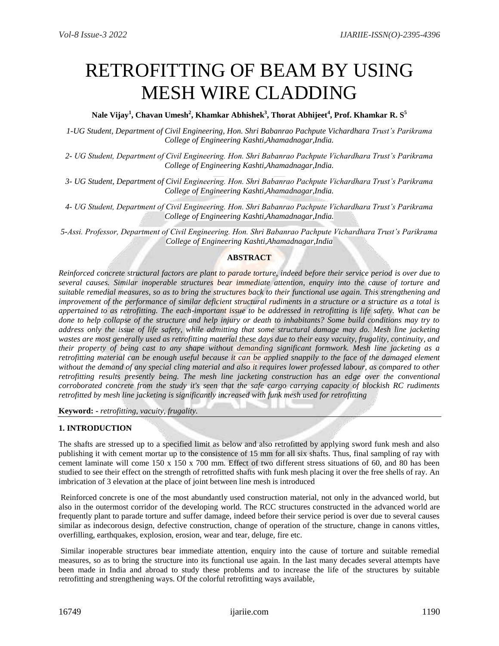# RETROFITTING OF BEAM BY USING MESH WIRE CLADDING

# **Nale Vijay<sup>1</sup> , Chavan Umesh<sup>2</sup> , Khamkar Abhishek<sup>3</sup> , Thorat Abhijeet<sup>4</sup> , Prof. Khamkar R. S<sup>5</sup>**

*1-UG Student, Department of Civil Engineering, Hon. Shri Babanrao Pachpute Vichardhara Trust's Parikrama College of Engineering Kashti,Ahamadnagar,India.*

*2- UG Student, Department of Civil Engineering. Hon. Shri Babanrao Pachpute Vichardhara Trust's Parikrama College of Engineering Kashti,Ahamadnagar,India.*

*3- UG Student, Department of Civil Engineering. Hon. Shri Babanrao Pachpute Vichardhara Trust's Parikrama College of Engineering Kashti,Ahamadnagar,India.*

*4- UG Student, Department of Civil Engineering. Hon. Shri Babanrao Pachpute Vichardhara Trust's Parikrama College of Engineering Kashti,Ahamadnagar,India.*

*5-Assi. Professor, Department of Civil Engineering. Hon. Shri Babanrao Pachpute Vichardhara Trust's Parikrama College of Engineering Kashti,Ahamadnagar,India*

## **ABSTRACT**

*Reinforced concrete structural factors are plant to parade torture, indeed before their service period is over due to several causes. Similar inoperable structures bear immediate attention, enquiry into the cause of torture and suitable remedial measures, so as to bring the structures back to their functional use again. This strengthening and improvement of the performance of similar deficient structural rudiments in a structure or a structure as a total is appertained to as retrofitting. The each-important issue to be addressed in retrofitting is life safety. What can be done to help collapse of the structure and help injury or death to inhabitants? Some build conditions may try to address only the issue of life safety, while admitting that some structural damage may do. Mesh line jacketing wastes are most generally used as retrofitting material these days due to their easy vacuity, frugality, continuity, and their property of being cast to any shape without demanding significant formwork. Mesh line jacketing as a retrofitting material can be enough useful because it can be applied snappily to the face of the damaged element without the demand of any special cling material and also it requires lower professed labour, as compared to other retrofitting results presently being. The mesh line jacketing construction has an edge over the conventional corroborated concrete from the study it's seen that the safe cargo carrying capacity of blockish RC rudiments retrofitted by mesh line jacketing is significantly increased with funk mesh used for retrofitting*

**Keyword: -** *retrofitting, vacuity, frugality.*

# **1. INTRODUCTION**

The shafts are stressed up to a specified limit as below and also retrofitted by applying sword funk mesh and also publishing it with cement mortar up to the consistence of 15 mm for all six shafts. Thus, final sampling of ray with cement laminate will come 150 x 150 x 700 mm. Effect of two different stress situations of 60, and 80 has been studied to see their effect on the strength of retrofitted shafts with funk mesh placing it over the free shells of ray. An imbrication of 3 elevation at the place of joint between line mesh is introduced

Reinforced concrete is one of the most abundantly used construction material, not only in the advanced world, but also in the outermost corridor of the developing world. The RCC structures constructed in the advanced world are frequently plant to parade torture and suffer damage, indeed before their service period is over due to several causes similar as indecorous design, defective construction, change of operation of the structure, change in canons vittles, overfilling, earthquakes, explosion, erosion, wear and tear, deluge, fire etc.

Similar inoperable structures bear immediate attention, enquiry into the cause of torture and suitable remedial measures, so as to bring the structure into its functional use again. In the last many decades several attempts have been made in India and abroad to study these problems and to increase the life of the structures by suitable retrofitting and strengthening ways. Of the colorful retrofitting ways available,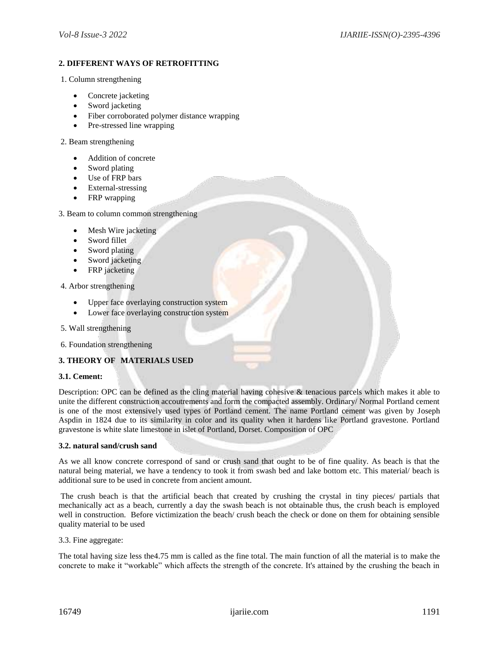# **2. DIFFERENT WAYS OF RETROFITTING**

- 1. Column strengthening
	- Concrete jacketing
	- Sword jacketing
	- Fiber corroborated polymer distance wrapping
	- Pre-stressed line wrapping

#### 2. Beam strengthening

- Addition of concrete
- Sword plating
- Use of FRP bars
- External-stressing
- FRP wrapping

3. Beam to column common strengthening

- Mesh Wire jacketing
- Sword fillet
- Sword plating
- Sword jacketing
- FRP jacketing
- 4. Arbor strengthening
	- Upper face overlaying construction system
	- Lower face overlaying construction system
- 5. Wall strengthening
- 6. Foundation strengthening

# **3. THEORY OF MATERIALS USED**

#### **3.1. Cement:**

Description: OPC can be defined as the cling material having cohesive & tenacious parcels which makes it able to unite the different construction accoutrements and form the compacted assembly. Ordinary/ Normal Portland cement is one of the most extensively used types of Portland cement. The name Portland cement was given by Joseph Aspdin in 1824 due to its similarity in color and its quality when it hardens like Portland gravestone. Portland gravestone is white slate limestone in islet of Portland, Dorset. Composition of OPC

## **3.2. natural sand/crush sand**

As we all know concrete correspond of sand or crush sand that ought to be of fine quality. As beach is that the natural being material, we have a tendency to took it from swash bed and lake bottom etc. This material/ beach is additional sure to be used in concrete from ancient amount.

The crush beach is that the artificial beach that created by crushing the crystal in tiny pieces/ partials that mechanically act as a beach, currently a day the swash beach is not obtainable thus, the crush beach is employed well in construction. Before victimization the beach/ crush beach the check or done on them for obtaining sensible quality material to be used

#### 3.3. Fine aggregate:

The total having size less the4.75 mm is called as the fine total. The main function of all the material is to make the concrete to make it "workable" which affects the strength of the concrete. It's attained by the crushing the beach in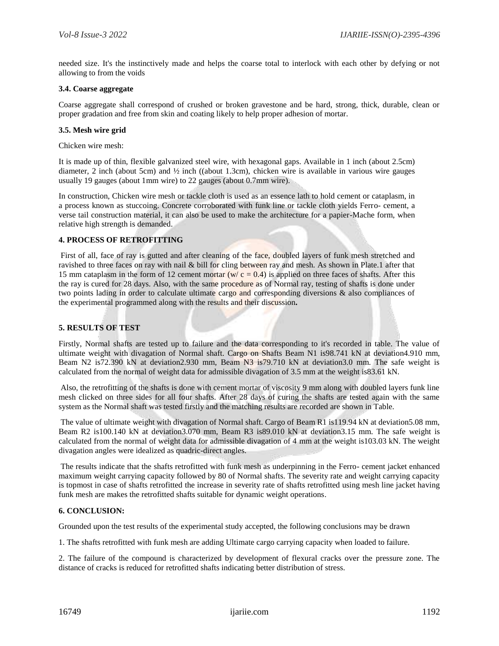needed size. It's the instinctively made and helps the coarse total to interlock with each other by defying or not allowing to from the voids

## **3.4. Coarse aggregate**

Coarse aggregate shall correspond of crushed or broken gravestone and be hard, strong, thick, durable, clean or proper gradation and free from skin and coating likely to help proper adhesion of mortar.

#### **3.5. Mesh wire grid**

Chicken wire mesh:

It is made up of thin, flexible galvanized steel wire, with hexagonal gaps. Available in 1 inch (about 2.5cm) diameter, 2 inch (about 5cm) and ½ inch ((about 1.3cm), chicken wire is available in various wire gauges usually 19 gauges (about 1mm wire) to 22 gauges (about 0.7mm wire).

In construction, Chicken wire mesh or tackle cloth is used as an essence lath to hold cement or cataplasm, in a process known as stuccoing. Concrete corroborated with funk line or tackle cloth yields Ferro- cement, a verse tail construction material, it can also be used to make the architecture for a papier-Mache form, when relative high strength is demanded.

## **4. PROCESS OF RETROFITTING**

First of all, face of ray is gutted and after cleaning of the face, doubled layers of funk mesh stretched and ravished to three faces on ray with nail & bill for cling between ray and mesh. As shown in Plate.1 after that 15 mm cataplasm in the form of 12 cement mortar ( $w/c = 0.4$ ) is applied on three faces of shafts. After this the ray is cured for 28 days. Also, with the same procedure as of Normal ray, testing of shafts is done under two points lading in order to calculate ultimate cargo and corresponding diversions & also compliances of the experimental programmed along with the results and their discussion**.**

## **5. RESULTS OF TEST**

Firstly, Normal shafts are tested up to failure and the data corresponding to it's recorded in table. The value of ultimate weight with divagation of Normal shaft. Cargo on Shafts Beam N1 is98.741 kN at deviation4.910 mm, Beam N2 is72.390 kN at deviation2.930 mm, Beam N3 is79.710 kN at deviation3.0 mm. The safe weight is calculated from the normal of weight data for admissible divagation of 3.5 mm at the weight is83.61 kN.

Also, the retrofitting of the shafts is done with cement mortar of viscosity 9 mm along with doubled layers funk line mesh clicked on three sides for all four shafts. After 28 days of curing the shafts are tested again with the same system as the Normal shaft was tested firstly and the matching results are recorded are shown in Table.

The value of ultimate weight with divagation of Normal shaft. Cargo of Beam R1 is119.94 kN at deviation5.08 mm, Beam R2 is100.140 kN at deviation3.070 mm, Beam R3 is89.010 kN at deviation3.15 mm. The safe weight is calculated from the normal of weight data for admissible divagation of 4 mm at the weight is103.03 kN. The weight divagation angles were idealized as quadric-direct angles.

The results indicate that the shafts retrofitted with funk mesh as underpinning in the Ferro- cement jacket enhanced maximum weight carrying capacity followed by 80 of Normal shafts. The severity rate and weight carrying capacity is topmost in case of shafts retrofitted the increase in severity rate of shafts retrofitted using mesh line jacket having funk mesh are makes the retrofitted shafts suitable for dynamic weight operations.

#### **6. CONCLUSION:**

Grounded upon the test results of the experimental study accepted, the following conclusions may be drawn

1. The shafts retrofitted with funk mesh are adding Ultimate cargo carrying capacity when loaded to failure.

2. The failure of the compound is characterized by development of flexural cracks over the pressure zone. The distance of cracks is reduced for retrofitted shafts indicating better distribution of stress.